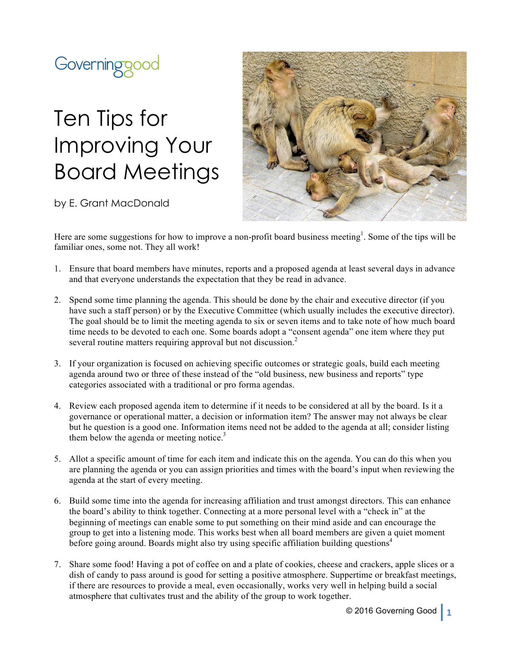

## Ten Tips for Improving Your Board Meetings

by E. Grant MacDonald



Here are some suggestions for how to improve a non-profit board business meeting<sup>1</sup>. Some of the tips will be familiar ones, some not. They all work!

- 1. Ensure that board members have minutes, reports and a proposed agenda at least several days in advance and that everyone understands the expectation that they be read in advance.
- 2. Spend some time planning the agenda. This should be done by the chair and executive director (if you have such a staff person) or by the Executive Committee (which usually includes the executive director). The goal should be to limit the meeting agenda to six or seven items and to take note of how much board time needs to be devoted to each one. Some boards adopt a "consent agenda" one item where they put several routine matters requiring approval but not discussion.<sup>2</sup>
- 3. If your organization is focused on achieving specific outcomes or strategic goals, build each meeting agenda around two or three of these instead of the "old business, new business and reports" type categories associated with a traditional or pro forma agendas.
- 4. Review each proposed agenda item to determine if it needs to be considered at all by the board. Is it a governance or operational matter, a decision or information item? The answer may not always be clear but he question is a good one. Information items need not be added to the agenda at all; consider listing them below the agenda or meeting notice.<sup>3</sup>
- 5. Allot a specific amount of time for each item and indicate this on the agenda. You can do this when you are planning the agenda or you can assign priorities and times with the board's input when reviewing the agenda at the start of every meeting.
- 6. Build some time into the agenda for increasing affiliation and trust amongst directors. This can enhance the board's ability to think together. Connecting at a more personal level with a "check in" at the beginning of meetings can enable some to put something on their mind aside and can encourage the group to get into a listening mode. This works best when all board members are given a quiet moment before going around. Boards might also try using specific affiliation building questions<sup>4</sup>
- 7. Share some food! Having a pot of coffee on and a plate of cookies, cheese and crackers, apple slices or a dish of candy to pass around is good for setting a positive atmosphere. Suppertime or breakfast meetings, if there are resources to provide a meal, even occasionally, works very well in helping build a social atmosphere that cultivates trust and the ability of the group to work together.